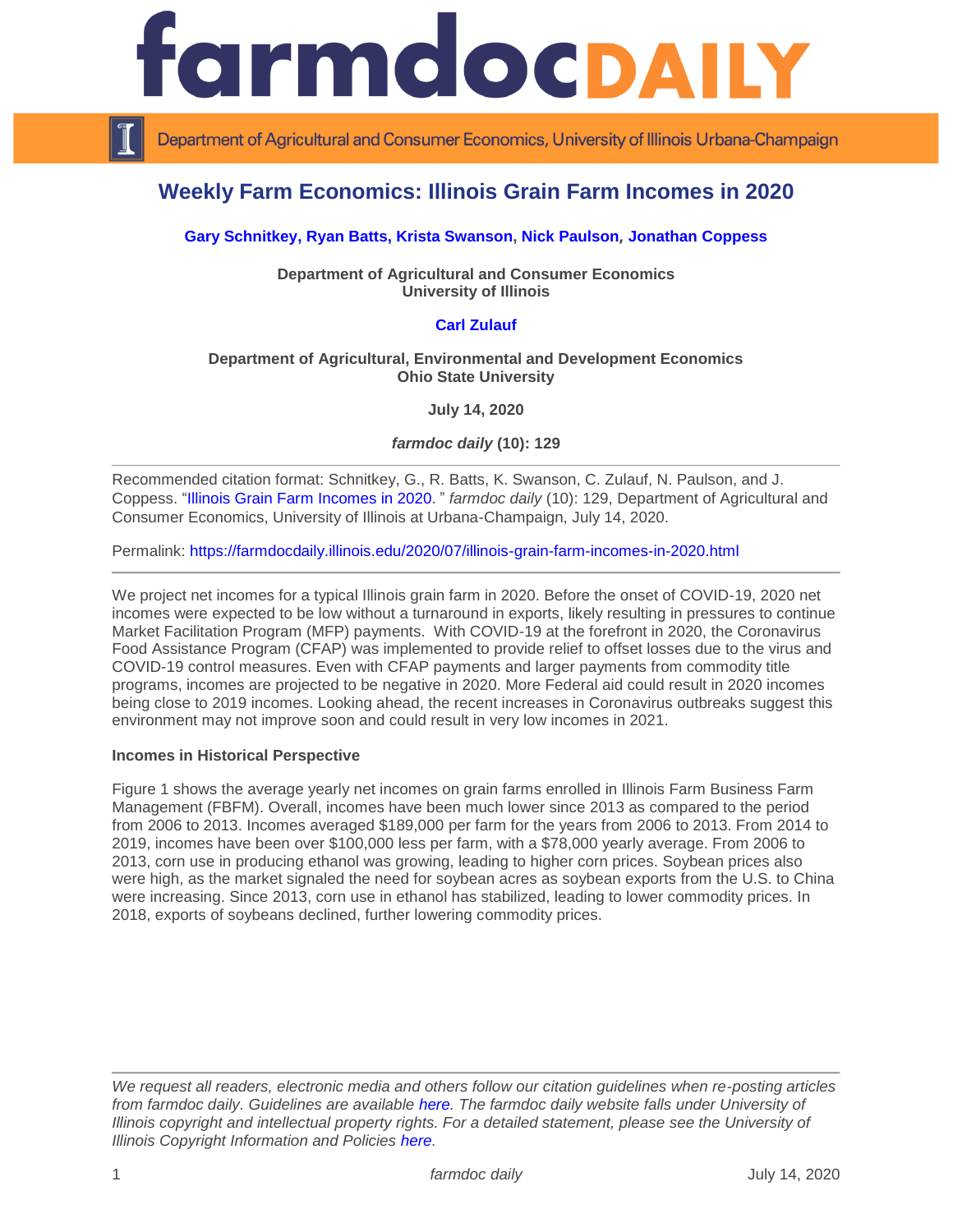

Department of Agricultural and Consumer Economics, University of Illinois Urbana-Champaign

# **Weekly Farm Economics: Illinois Grain Farm Incomes in 2020**

## **[Gary Schnitkey,](https://ace.illinois.edu/directory/schnitke) [Ryan Batts,](https://ace.illinois.edu/directory/batts) [Krista Swanson,](https://ace.illinois.edu/directory/krista) [Nick Paulson](https://ace.illinois.edu/directory/npaulson), [Jonathan Coppess](https://ace.illinois.edu/directory/jwcoppes)**

#### **Department of Agricultural and Consumer Economics University of Illinois**

### **[Carl Zulauf](http://aede.osu.edu/our-people/carl-zulauf)**

#### **Department of Agricultural, Environmental and Development Economics Ohio State University**

**July 14, 2020**

*farmdoc daily* **(10): 129**

Recommended citation format: Schnitkey, G., R. Batts, K. Swanson, C. Zulauf, N. Paulson, and J. Coppess. ["Illinois Grain Farm Incomes in 2020](https://farmdocdaily.illinois.edu/2020/07/illinois-grain-farm-incomes-in-2020.html)." *farmdoc daily* (10): 129, Department of Agricultural and Consumer Economics, University of Illinois at Urbana-Champaign, July 14, 2020.

Permalink:<https://farmdocdaily.illinois.edu/2020/07/illinois-grain-farm-incomes-in-2020.html>

We project net incomes for a typical Illinois grain farm in 2020. Before the onset of COVID-19, 2020 net incomes were expected to be low without a turnaround in exports, likely resulting in pressures to continue Market Facilitation Program (MFP) payments. With COVID-19 at the forefront in 2020, the Coronavirus Food Assistance Program (CFAP) was implemented to provide relief to offset losses due to the virus and COVID-19 control measures. Even with CFAP payments and larger payments from commodity title programs, incomes are projected to be negative in 2020. More Federal aid could result in 2020 incomes being close to 2019 incomes. Looking ahead, the recent increases in Coronavirus outbreaks suggest this environment may not improve soon and could result in very low incomes in 2021.

#### **Incomes in Historical Perspective**

Figure 1 shows the average yearly net incomes on grain farms enrolled in Illinois Farm Business Farm Management (FBFM). Overall, incomes have been much lower since 2013 as compared to the period from 2006 to 2013. Incomes averaged \$189,000 per farm for the years from 2006 to 2013. From 2014 to 2019, incomes have been over \$100,000 less per farm, with a \$78,000 yearly average. From 2006 to 2013, corn use in producing ethanol was growing, leading to higher corn prices. Soybean prices also were high, as the market signaled the need for soybean acres as soybean exports from the U.S. to China were increasing. Since 2013, corn use in ethanol has stabilized, leading to lower commodity prices. In 2018, exports of soybeans declined, further lowering commodity prices.

*We request all readers, electronic media and others follow our citation guidelines when re-posting articles from farmdoc daily. Guidelines are available [here.](http://farmdocdaily.illinois.edu/citationguide.html) The farmdoc daily website falls under University of Illinois copyright and intellectual property rights. For a detailed statement, please see the University of Illinois Copyright Information and Policies [here.](http://www.cio.illinois.edu/policies/copyright/)*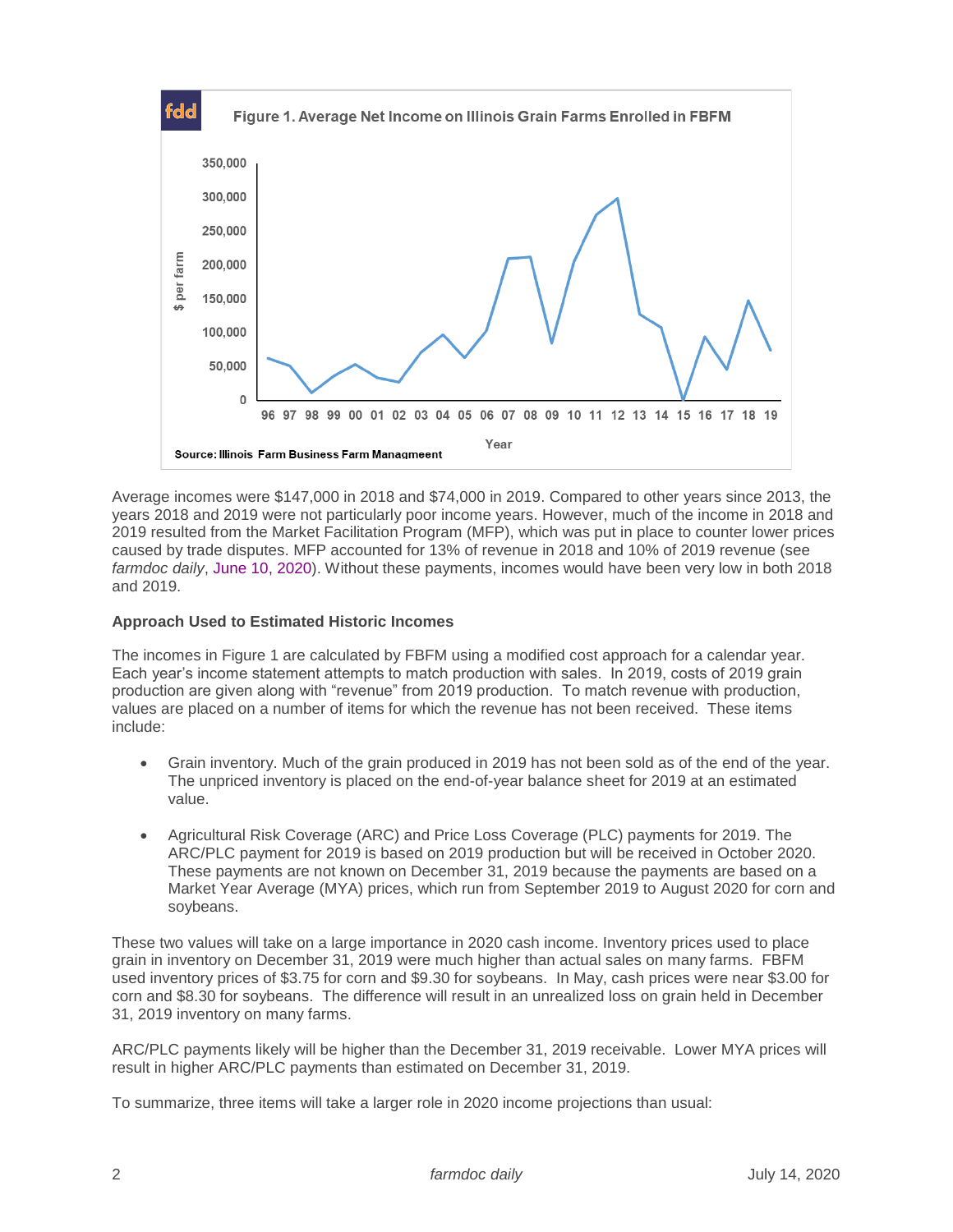

Average incomes were \$147,000 in 2018 and \$74,000 in 2019. Compared to other years since 2013, the years 2018 and 2019 were not particularly poor income years. However, much of the income in 2018 and 2019 resulted from the Market Facilitation Program (MFP), which was put in place to counter lower prices caused by trade disputes. MFP accounted for 13% of revenue in 2018 and 10% of 2019 revenue (see *farmdoc daily*, [June 10, 2020\)](https://farmdocdaily.illinois.edu/2020/06/mfp-and-cfap-payments-corn-and-soybean-uses-and-future-farm-profitability.html). Without these payments, incomes would have been very low in both 2018 and 2019.

## **Approach Used to Estimated Historic Incomes**

The incomes in Figure 1 are calculated by FBFM using a modified cost approach for a calendar year. Each year's income statement attempts to match production with sales. In 2019, costs of 2019 grain production are given along with "revenue" from 2019 production. To match revenue with production, values are placed on a number of items for which the revenue has not been received. These items include:

- Grain inventory. Much of the grain produced in 2019 has not been sold as of the end of the year. The unpriced inventory is placed on the end-of-year balance sheet for 2019 at an estimated value.
- Agricultural Risk Coverage (ARC) and Price Loss Coverage (PLC) payments for 2019. The ARC/PLC payment for 2019 is based on 2019 production but will be received in October 2020. These payments are not known on December 31, 2019 because the payments are based on a Market Year Average (MYA) prices, which run from September 2019 to August 2020 for corn and soybeans.

These two values will take on a large importance in 2020 cash income. Inventory prices used to place grain in inventory on December 31, 2019 were much higher than actual sales on many farms. FBFM used inventory prices of \$3.75 for corn and \$9.30 for soybeans. In May, cash prices were near \$3.00 for corn and \$8.30 for soybeans. The difference will result in an unrealized loss on grain held in December 31, 2019 inventory on many farms.

ARC/PLC payments likely will be higher than the December 31, 2019 receivable. Lower MYA prices will result in higher ARC/PLC payments than estimated on December 31, 2019.

To summarize, three items will take a larger role in 2020 income projections than usual: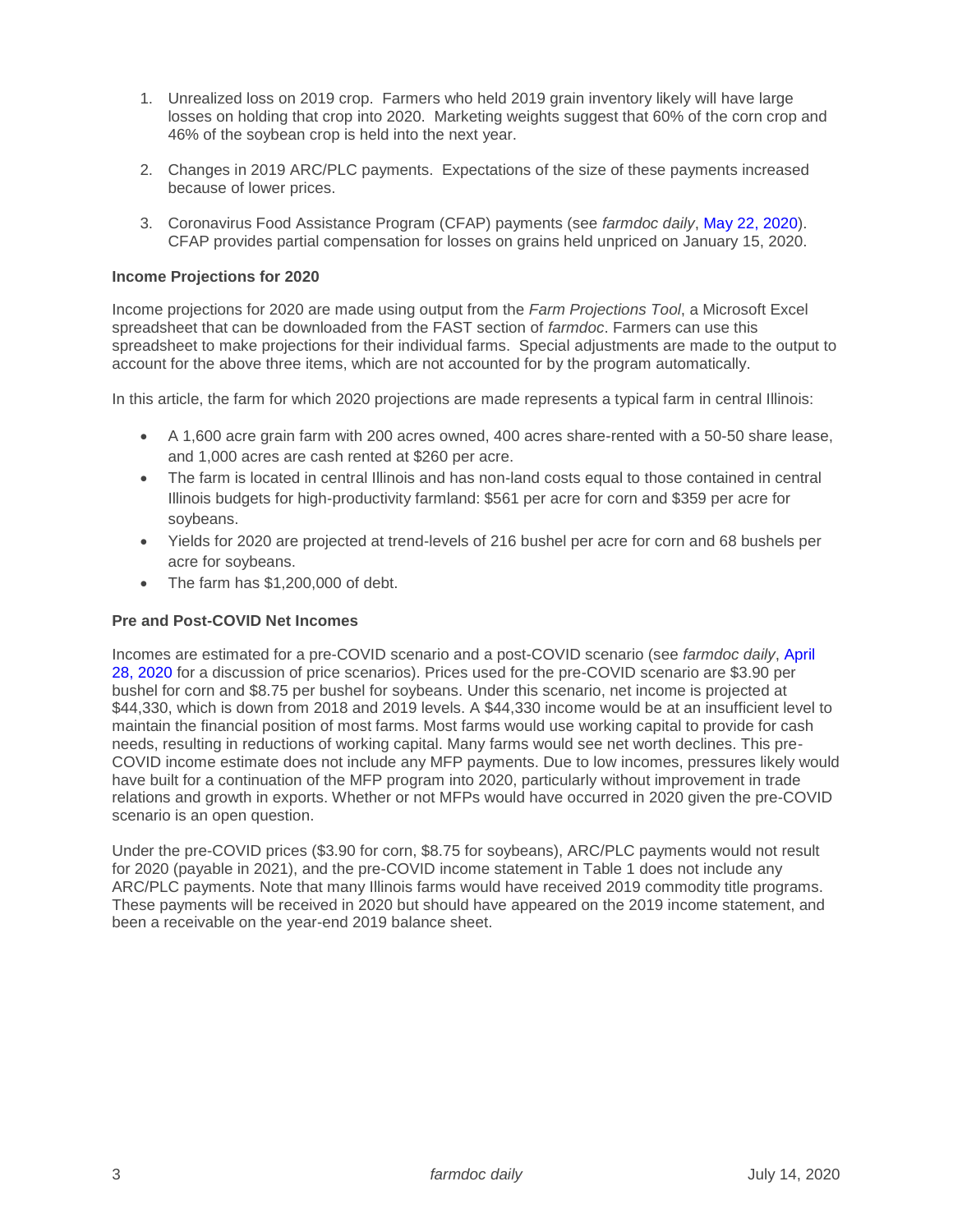- 1. Unrealized loss on 2019 crop. Farmers who held 2019 grain inventory likely will have large losses on holding that crop into 2020. Marketing weights suggest that 60% of the corn crop and 46% of the soybean crop is held into the next year.
- 2. Changes in 2019 ARC/PLC payments. Expectations of the size of these payments increased because of lower prices.
- 3. Coronavirus Food Assistance Program (CFAP) payments (see *farmdoc daily*, [May 22, 2020\)](https://farmdocdaily.illinois.edu/2020/05/coronavirus-food-assistance-program-cfap-rules-announced.html). CFAP provides partial compensation for losses on grains held unpriced on January 15, 2020.

#### **Income Projections for 2020**

Income projections for 2020 are made using output from the *Farm Projections Tool*, a Microsoft Excel spreadsheet that can be downloaded from the FAST section of *farmdoc*. Farmers can use this spreadsheet to make projections for their individual farms. Special adjustments are made to the output to account for the above three items, which are not accounted for by the program automatically.

In this article, the farm for which 2020 projections are made represents a typical farm in central Illinois:

- A 1,600 acre grain farm with 200 acres owned, 400 acres share-rented with a 50-50 share lease, and 1,000 acres are cash rented at \$260 per acre.
- The farm is located in central Illinois and has non-land costs equal to those contained in central Illinois budgets for high-productivity farmland: \$561 per acre for corn and \$359 per acre for soybeans.
- Yields for 2020 are projected at trend-levels of 216 bushel per acre for corn and 68 bushels per acre for soybeans.
- The farm has \$1,200,000 of debt.

#### **Pre and Post-COVID Net Incomes**

Incomes are estimated for a pre-COVID scenario and a post-COVID scenario (see *farmdoc daily*, [April](https://farmdocdaily.illinois.edu/2020/04/estimates-of-mya-prices-for-2019-thorough-2021-pre-and-post-covid-19-corn-and-soybeans.html)  [28, 2020](https://farmdocdaily.illinois.edu/2020/04/estimates-of-mya-prices-for-2019-thorough-2021-pre-and-post-covid-19-corn-and-soybeans.html) for a discussion of price scenarios). Prices used for the pre-COVID scenario are \$3.90 per bushel for corn and \$8.75 per bushel for soybeans. Under this scenario, net income is projected at \$44,330, which is down from 2018 and 2019 levels. A \$44,330 income would be at an insufficient level to maintain the financial position of most farms. Most farms would use working capital to provide for cash needs, resulting in reductions of working capital. Many farms would see net worth declines. This pre-COVID income estimate does not include any MFP payments. Due to low incomes, pressures likely would have built for a continuation of the MFP program into 2020, particularly without improvement in trade relations and growth in exports. Whether or not MFPs would have occurred in 2020 given the pre-COVID scenario is an open question.

Under the pre-COVID prices (\$3.90 for corn, \$8.75 for soybeans), ARC/PLC payments would not result for 2020 (payable in 2021), and the pre-COVID income statement in Table 1 does not include any ARC/PLC payments. Note that many Illinois farms would have received 2019 commodity title programs. These payments will be received in 2020 but should have appeared on the 2019 income statement, and been a receivable on the year-end 2019 balance sheet.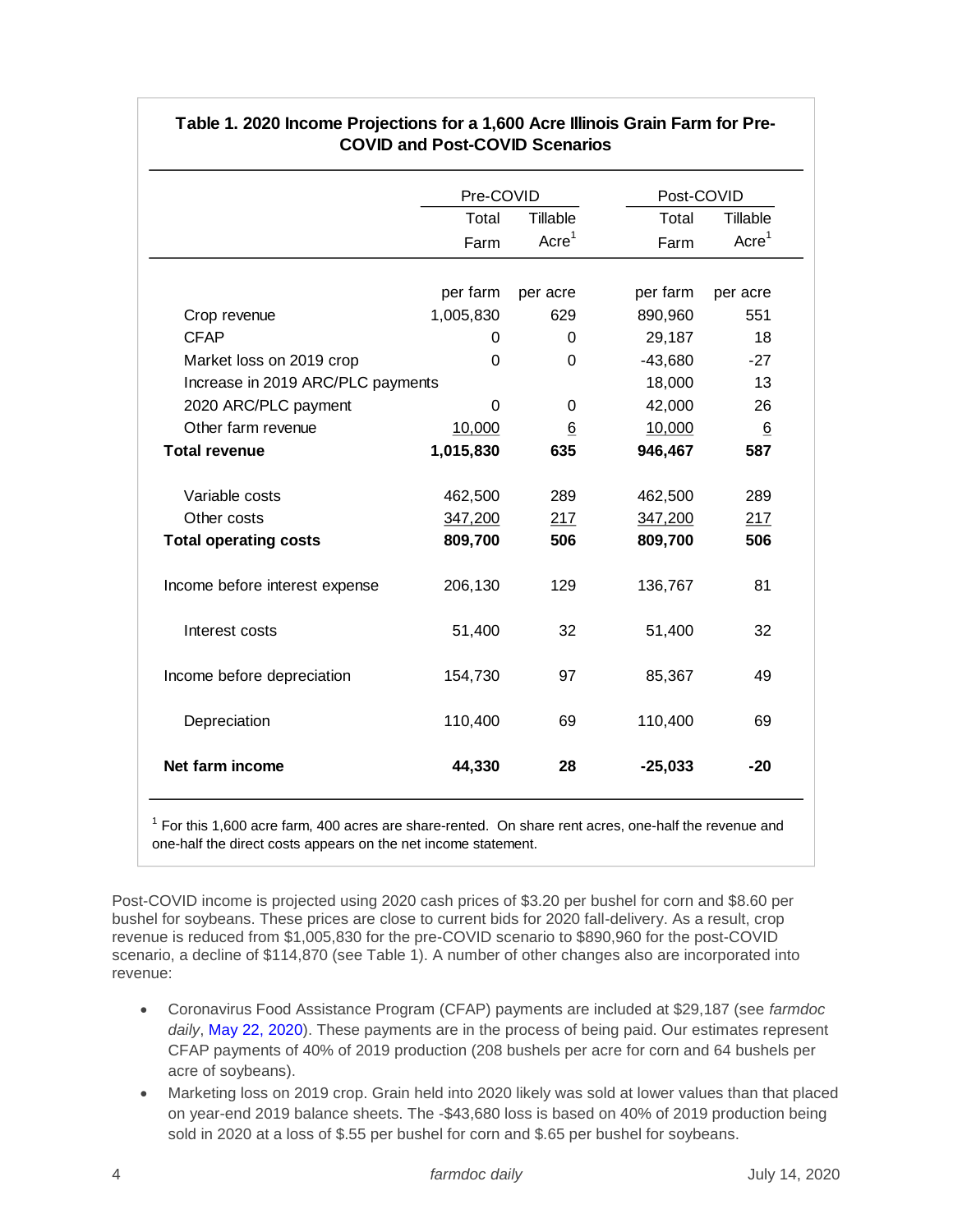|                                                                                                                                                                                                                                                                                                                 | Pre-COVID |                    | Post-COVID |                    |
|-----------------------------------------------------------------------------------------------------------------------------------------------------------------------------------------------------------------------------------------------------------------------------------------------------------------|-----------|--------------------|------------|--------------------|
|                                                                                                                                                                                                                                                                                                                 | Total     | Tillable           | Total      | Tillable           |
|                                                                                                                                                                                                                                                                                                                 | Farm      | Accre <sup>1</sup> | Farm       | Accre <sup>1</sup> |
|                                                                                                                                                                                                                                                                                                                 | per farm  | per acre           | per farm   | per acre           |
| Crop revenue                                                                                                                                                                                                                                                                                                    | 1,005,830 | 629                | 890,960    | 551                |
| <b>CFAP</b>                                                                                                                                                                                                                                                                                                     | 0         | 0                  | 29,187     | 18                 |
| Market loss on 2019 crop                                                                                                                                                                                                                                                                                        | 0         | 0                  | $-43,680$  | $-27$              |
| Increase in 2019 ARC/PLC payments                                                                                                                                                                                                                                                                               |           |                    | 18,000     | 13                 |
| 2020 ARC/PLC payment                                                                                                                                                                                                                                                                                            | 0         | 0                  | 42,000     | 26                 |
| Other farm revenue                                                                                                                                                                                                                                                                                              | 10,000    | 6                  | 10,000     | $6\overline{6}$    |
| <b>Total revenue</b>                                                                                                                                                                                                                                                                                            | 1,015,830 | 635                | 946,467    | 587                |
| Variable costs                                                                                                                                                                                                                                                                                                  | 462,500   | 289                | 462,500    | 289                |
| Other costs                                                                                                                                                                                                                                                                                                     | 347,200   | 217                | 347,200    | 217                |
| <b>Total operating costs</b>                                                                                                                                                                                                                                                                                    | 809,700   | 506                | 809,700    | 506                |
| Income before interest expense                                                                                                                                                                                                                                                                                  | 206,130   | 129                | 136,767    | 81                 |
| Interest costs                                                                                                                                                                                                                                                                                                  | 51,400    | 32                 | 51,400     | 32                 |
| Income before depreciation                                                                                                                                                                                                                                                                                      | 154,730   | 97                 | 85,367     | 49                 |
| Depreciation                                                                                                                                                                                                                                                                                                    | 110,400   | 69                 | 110,400    | 69                 |
| Net farm income                                                                                                                                                                                                                                                                                                 | 44,330    | 28                 | $-25,033$  | $-20$              |
| $1$ For this 1,600 acre farm, 400 acres are share-rented. On share rent acres, one-half the revenue and<br>one-half the direct costs appears on the net income statement.<br>t-COVID income is projected using 2020 cash prices of \$3.20 per bushel for corn and \$8.60 per                                    |           |                    |            |                    |
| hel for soybeans. These prices are close to current bids for 2020 fall-delivery. As a result, crop<br>enue is reduced from \$1,005,830 for the pre-COVID scenario to \$890,960 for the post-COVID<br>nario, a decline of \$114,870 (see Table 1). A number of other changes also are incorporated into<br>enue: |           |                    |            |                    |
| Coronavirus Food Assistance Program (CFAP) payments are included at \$29,187 (see farma<br>daily, May 22, 2020). These payments are in the process of being paid. Our estimates repres<br>CFAP payments of 40% of 2019 production (208 bushels per acre for corn and 64 bushels pe<br>acre of soybeans).        |           |                    |            |                    |
| Marketing loss on 2019 crop. Grain held into 2020 likely was sold at lower values than that pla<br>on year-end 2019 balance sheets. The -\$43,680 loss is based on 40% of 2019 production be                                                                                                                    |           |                    |            |                    |

## **Table 1. 2020 Income Projections for a 1,600 Acre Illinois Grain Farm for Pre-COVID and Post-COVID Scenarios**

- Coronavirus Food Assistance Program (CFAP) payments are included at \$29,187 (see *farmdoc daily*, [May 22, 2020\)](https://farmdocdaily.illinois.edu/2020/05/coronavirus-food-assistance-program-cfap-rules-announced.html). These payments are in the process of being paid. Our estimates represent CFAP payments of 40% of 2019 production (208 bushels per acre for corn and 64 bushels per acre of soybeans).
- Marketing loss on 2019 crop. Grain held into 2020 likely was sold at lower values than that placed on year-end 2019 balance sheets. The -\$43,680 loss is based on 40% of 2019 production being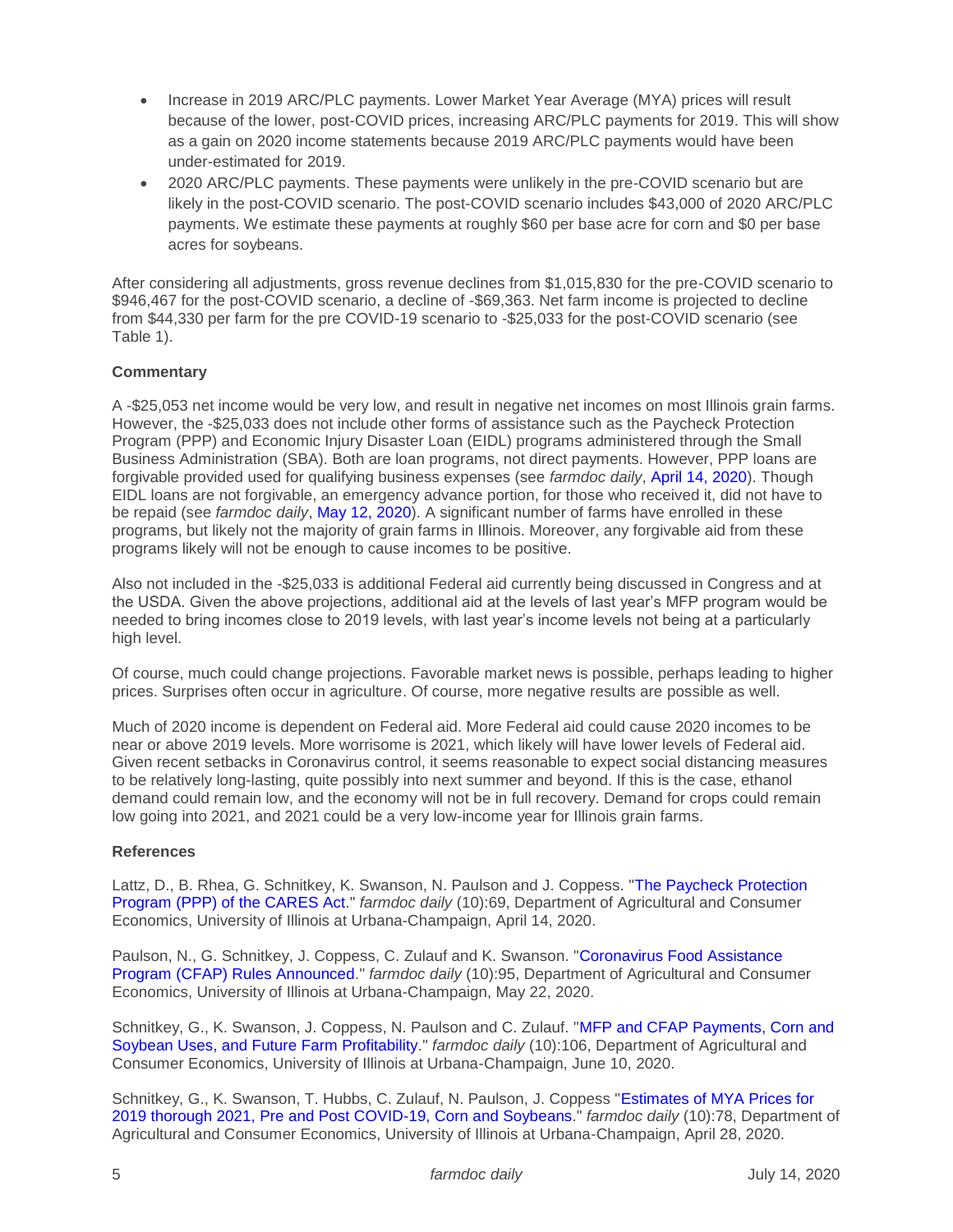- Increase in 2019 ARC/PLC payments. Lower Market Year Average (MYA) prices will result because of the lower, post-COVID prices, increasing ARC/PLC payments for 2019. This will show as a gain on 2020 income statements because 2019 ARC/PLC payments would have been under-estimated for 2019.
- 2020 ARC/PLC payments. These payments were unlikely in the pre-COVID scenario but are likely in the post-COVID scenario. The post-COVID scenario includes \$43,000 of 2020 ARC/PLC payments. We estimate these payments at roughly \$60 per base acre for corn and \$0 per base acres for soybeans.

After considering all adjustments, gross revenue declines from \$1,015,830 for the pre-COVID scenario to \$946,467 for the post-COVID scenario, a decline of -\$69,363. Net farm income is projected to decline from \$44,330 per farm for the pre COVID-19 scenario to -\$25,033 for the post-COVID scenario (see Table 1).

## **Commentary**

A -\$25,053 net income would be very low, and result in negative net incomes on most Illinois grain farms. However, the -\$25,033 does not include other forms of assistance such as the Paycheck Protection Program (PPP) and Economic Injury Disaster Loan (EIDL) programs administered through the Small Business Administration (SBA). Both are loan programs, not direct payments. However, PPP loans are forgivable provided used for qualifying business expenses (see *farmdoc daily*, [April 14, 2020\)](https://farmdocdaily.illinois.edu/2020/04/the-paycheck-protection-program-ppp-of-the-cares-act.html). Though EIDL loans are not forgivable, an emergency advance portion, for those who received it, did not have to be repaid (see *farmdoc daily*[, May 12, 2020\)](https://farmdocdaily.illinois.edu/2020/05/pandemic-relief-update-economic-injury-disaster-loan-program.html). A significant number of farms have enrolled in these programs, but likely not the majority of grain farms in Illinois. Moreover, any forgivable aid from these programs likely will not be enough to cause incomes to be positive.

Also not included in the -\$25,033 is additional Federal aid currently being discussed in Congress and at the USDA. Given the above projections, additional aid at the levels of last year's MFP program would be needed to bring incomes close to 2019 levels, with last year's income levels not being at a particularly high level.

Of course, much could change projections. Favorable market news is possible, perhaps leading to higher prices. Surprises often occur in agriculture. Of course, more negative results are possible as well.

Much of 2020 income is dependent on Federal aid. More Federal aid could cause 2020 incomes to be near or above 2019 levels. More worrisome is 2021, which likely will have lower levels of Federal aid. Given recent setbacks in Coronavirus control, it seems reasonable to expect social distancing measures to be relatively long-lasting, quite possibly into next summer and beyond. If this is the case, ethanol demand could remain low, and the economy will not be in full recovery. Demand for crops could remain low going into 2021, and 2021 could be a very low-income year for Illinois grain farms.

## **References**

Lattz, D., B. Rhea, G. Schnitkey, K. Swanson, N. Paulson and J. Coppess. ["The Paycheck Protection](https://farmdocdaily.illinois.edu/2020/04/the-paycheck-protection-program-ppp-of-the-cares-act.html)  [Program \(PPP\) of the CARES Act.](https://farmdocdaily.illinois.edu/2020/04/the-paycheck-protection-program-ppp-of-the-cares-act.html)" *farmdoc daily* (10):69, Department of Agricultural and Consumer Economics, University of Illinois at Urbana-Champaign, April 14, 2020.

Paulson, N., G. Schnitkey, J. Coppess, C. Zulauf and K. Swanson. ["Coronavirus Food Assistance](https://farmdocdaily.illinois.edu/2020/05/coronavirus-food-assistance-program-cfap-rules-announced.html)  [Program \(CFAP\) Rules Announced.](https://farmdocdaily.illinois.edu/2020/05/coronavirus-food-assistance-program-cfap-rules-announced.html)" *farmdoc daily* (10):95, Department of Agricultural and Consumer Economics, University of Illinois at Urbana-Champaign, May 22, 2020.

Schnitkey, G., K. Swanson, J. Coppess, N. Paulson and C. Zulauf. ["MFP and CFAP Payments, Corn and](https://farmdocdaily.illinois.edu/2020/06/mfp-and-cfap-payments-corn-and-soybean-uses-and-future-farm-profitability.html)  [Soybean Uses, and Future Farm Profitability.](https://farmdocdaily.illinois.edu/2020/06/mfp-and-cfap-payments-corn-and-soybean-uses-and-future-farm-profitability.html)" *farmdoc daily* (10):106, Department of Agricultural and Consumer Economics, University of Illinois at Urbana-Champaign, June 10, 2020.

Schnitkey, G., K. Swanson, T. Hubbs, C. Zulauf, N. Paulson, J. Coppess ["Estimates of MYA Prices for](https://farmdocdaily.illinois.edu/2020/04/estimates-of-mya-prices-for-2019-thorough-2021-pre-and-post-covid-19-corn-and-soybeans.html)  [2019 thorough 2021, Pre and Post COVID-19, Corn and Soybeans.](https://farmdocdaily.illinois.edu/2020/04/estimates-of-mya-prices-for-2019-thorough-2021-pre-and-post-covid-19-corn-and-soybeans.html)" *farmdoc daily* (10):78, Department of Agricultural and Consumer Economics, University of Illinois at Urbana-Champaign, April 28, 2020.